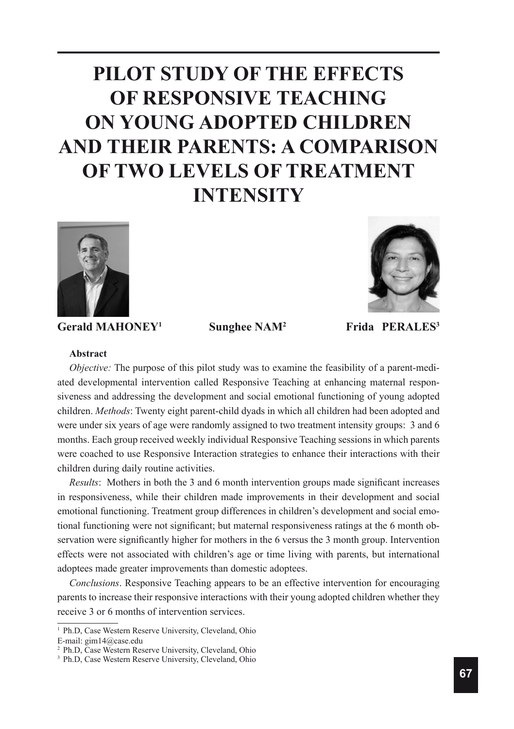# **PILOT STUDY OF THE EFFECTS OF RESPONSIVE TEACHING ON YOUNG ADOPTED CHILDREN AND THEIR PARENTS: A COMPARISON OF TWO LEVELS OF TREATMENT INTENSITY**



Gerald MAHONEY<sup>1</sup> Sunghee NAM<sup>2</sup>



 **Frida PERALES3**

#### **Abstract**

*Objective:* The purpose of this pilot study was to examine the feasibility of a parent-mediated developmental intervention called Responsive Teaching at enhancing maternal responsiveness and addressing the development and social emotional functioning of young adopted children. *Methods*: Twenty eight parent-child dyads in which all children had been adopted and were under six years of age were randomly assigned to two treatment intensity groups: 3 and 6 months. Each group received weekly individual Responsive Teaching sessions in which parents were coached to use Responsive Interaction strategies to enhance their interactions with their children during daily routine activities.

*Results*: Mothers in both the 3 and 6 month intervention groups made significant increases in responsiveness, while their children made improvements in their development and social emotional functioning. Treatment group differences in children's development and social emotional functioning were not significant; but maternal responsiveness ratings at the 6 month observation were significantly higher for mothers in the 6 versus the 3 month group. Intervention effects were not associated with children's age or time living with parents, but international adoptees made greater improvements than domestic adoptees.

*Conclusions*. Responsive Teaching appears to be an effective intervention for encouraging parents to increase their responsive interactions with their young adopted children whether they receive 3 or 6 months of intervention services.

<sup>&</sup>lt;sup>1</sup> Ph.D, Case Western Reserve University, Cleveland, Ohio E-mail: gim14@case.edu

<sup>2</sup>Ph.D, Case Western Reserve University, Cleveland, Ohio

<sup>&</sup>lt;sup>3</sup> Ph.D, Case Western Reserve University, Cleveland, Ohio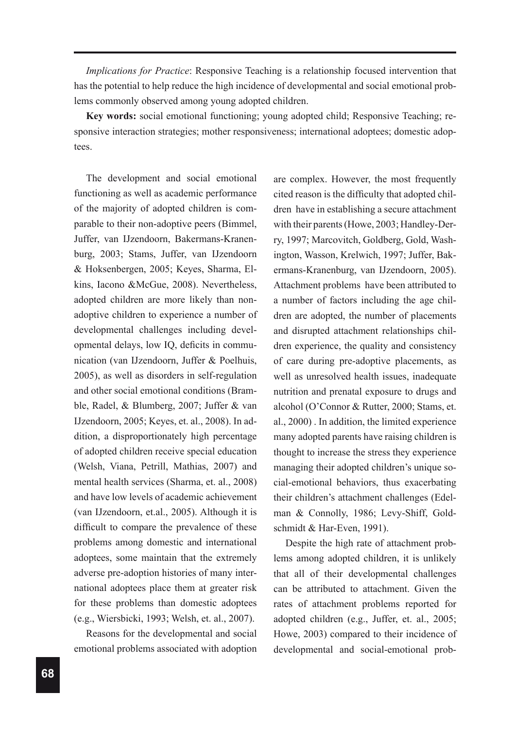*Implications for Practice*: Responsive Teaching is a relationship focused intervention that has the potential to help reduce the high incidence of developmental and social emotional problems commonly observed among young adopted children.

**Key words:** social emotional functioning; young adopted child; Responsive Teaching; responsive interaction strategies; mother responsiveness; international adoptees; domestic adoptees.

The development and social emotional functioning as well as academic performance of the majority of adopted children is comparable to their non-adoptive peers (Bimmel, Juffer, van IJzendoorn, Bakermans-Kranenburg, 2003; Stams, Juffer, van IJzendoorn & Hoksenbergen, 2005; Keyes, Sharma, Elkins, Iacono &McGue, 2008). Nevertheless, adopted children are more likely than nonadoptive children to experience a number of developmental challenges including developmental delays, low IQ, deficits in communication (van IJzendoorn, Juffer & Poelhuis, 2005), as well as disorders in self-regulation and other social emotional conditions (Bramble, Radel, & Blumberg, 2007; Juffer & van IJzendoorn, 2005; Keyes, et. al., 2008). In addition, a disproportionately high percentage of adopted children receive special education (Welsh, Viana, Petrill, Mathias, 2007) and mental health services (Sharma, et. al., 2008) and have low levels of academic achievement (van IJzendoorn, et.al., 2005). Although it is difficult to compare the prevalence of these problems among domestic and international adoptees, some maintain that the extremely adverse pre-adoption histories of many international adoptees place them at greater risk for these problems than domestic adoptees (e.g., Wiersbicki, 1993; Welsh, et. al., 2007).

Reasons for the developmental and social emotional problems associated with adoption

are complex. However, the most frequently cited reason is the difficulty that adopted children have in establishing a secure attachment with their parents (Howe, 2003; Handley-Derry, 1997; Marcovitch, Goldberg, Gold, Washington, Wasson, Krelwich, 1997; Juffer, Bakermans-Kranenburg, van IJzendoorn, 2005). Attachment problems have been attributed to a number of factors including the age children are adopted, the number of placements and disrupted attachment relationships children experience, the quality and consistency of care during pre-adoptive placements, as well as unresolved health issues, inadequate nutrition and prenatal exposure to drugs and alcohol (O'Connor & Rutter, 2000; Stams, et. al., 2000) . In addition, the limited experience many adopted parents have raising children is thought to increase the stress they experience managing their adopted children's unique social-emotional behaviors, thus exacerbating their children's attachment challenges (Edelman & Connolly, 1986; Levy-Shiff, Goldschmidt & Har-Even, 1991).

Despite the high rate of attachment problems among adopted children, it is unlikely that all of their developmental challenges can be attributed to attachment. Given the rates of attachment problems reported for adopted children (e.g., Juffer, et. al., 2005; Howe, 2003) compared to their incidence of developmental and social-emotional prob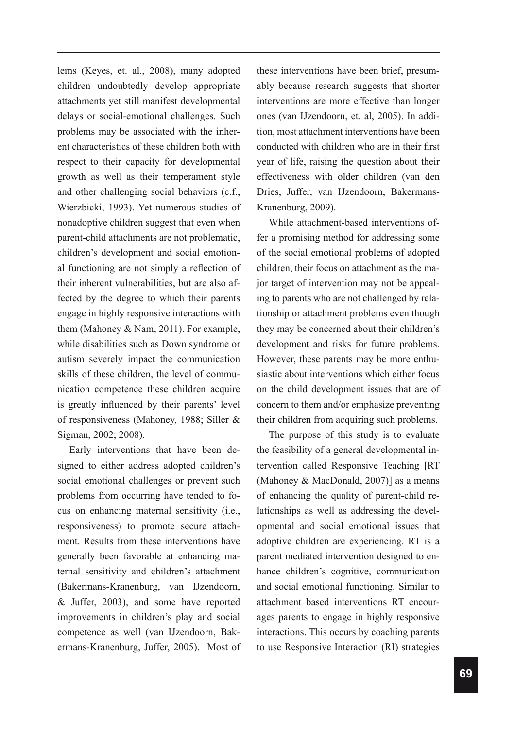lems (Keyes, et. al., 2008), many adopted children undoubtedly develop appropriate attachments yet still manifest developmental delays or social-emotional challenges. Such problems may be associated with the inherent characteristics of these children both with respect to their capacity for developmental growth as well as their temperament style and other challenging social behaviors (c.f., Wierzbicki, 1993). Yet numerous studies of nonadoptive children suggest that even when parent-child attachments are not problematic, children's development and social emotional functioning are not simply a reflection of their inherent vulnerabilities, but are also affected by the degree to which their parents engage in highly responsive interactions with them (Mahoney & Nam, 2011). For example, while disabilities such as Down syndrome or autism severely impact the communication skills of these children, the level of communication competence these children acquire is greatly influenced by their parents' level of responsiveness (Mahoney, 1988; Siller & Sigman, 2002; 2008).

Early interventions that have been designed to either address adopted children's social emotional challenges or prevent such problems from occurring have tended to focus on enhancing maternal sensitivity (i.e., responsiveness) to promote secure attachment. Results from these interventions have generally been favorable at enhancing maternal sensitivity and children's attachment (Bakermans-Kranenburg, van IJzendoorn, & Juffer, 2003), and some have reported improvements in children's play and social competence as well (van IJzendoorn, Bakermans-Kranenburg, Juffer, 2005). Most of these interventions have been brief, presumably because research suggests that shorter interventions are more effective than longer ones (van IJzendoorn, et. al, 2005). In addition, most attachment interventions have been conducted with children who are in their first year of life, raising the question about their effectiveness with older children (van den Dries, Juffer, van IJzendoorn, Bakermans-Kranenburg, 2009).

While attachment-based interventions offer a promising method for addressing some of the social emotional problems of adopted children, their focus on attachment as the major target of intervention may not be appealing to parents who are not challenged by relationship or attachment problems even though they may be concerned about their children's development and risks for future problems. However, these parents may be more enthusiastic about interventions which either focus on the child development issues that are of concern to them and/or emphasize preventing their children from acquiring such problems.

The purpose of this study is to evaluate the feasibility of a general developmental intervention called Responsive Teaching [RT (Mahoney & MacDonald, 2007)] as a means of enhancing the quality of parent-child relationships as well as addressing the developmental and social emotional issues that adoptive children are experiencing. RT is a parent mediated intervention designed to enhance children's cognitive, communication and social emotional functioning. Similar to attachment based interventions RT encourages parents to engage in highly responsive interactions. This occurs by coaching parents to use Responsive Interaction (RI) strategies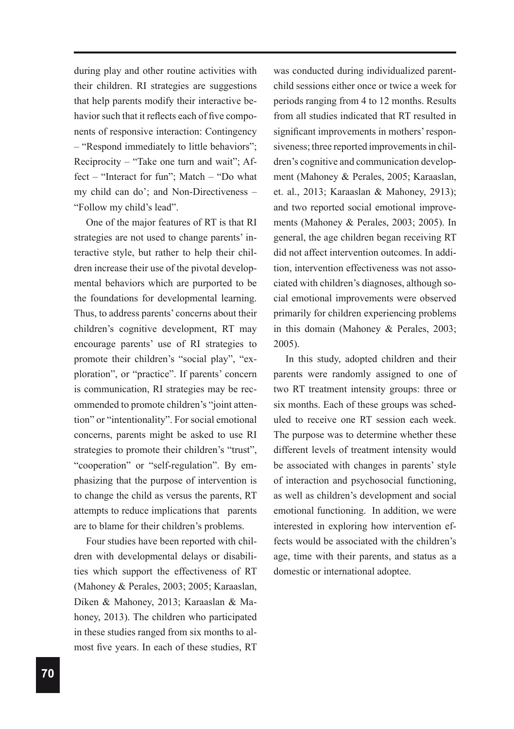during play and other routine activities with their children. RI strategies are suggestions that help parents modify their interactive behavior such that it reflects each of five components of responsive interaction: Contingency – "Respond immediately to little behaviors"; Reciprocity – "Take one turn and wait"; Affect – "Interact for fun"; Match – "Do what my child can do'; and Non-Directiveness – "Follow my child's lead".

One of the major features of RT is that RI strategies are not used to change parents' interactive style, but rather to help their children increase their use of the pivotal developmental behaviors which are purported to be the foundations for developmental learning. Thus, to address parents' concerns about their children's cognitive development, RT may encourage parents' use of RI strategies to promote their children's "social play", "exploration", or "practice". If parents' concern is communication, RI strategies may be recommended to promote children's "joint attention" or "intentionality". For social emotional concerns, parents might be asked to use RI strategies to promote their children's "trust", "cooperation" or "self-regulation". By emphasizing that the purpose of intervention is to change the child as versus the parents, RT attempts to reduce implications that parents are to blame for their children's problems.

Four studies have been reported with children with developmental delays or disabilities which support the effectiveness of RT (Mahoney & Perales, 2003; 2005; Karaaslan, Diken & Mahoney, 2013; Karaaslan & Mahoney, 2013). The children who participated in these studies ranged from six months to almost five years. In each of these studies, RT

was conducted during individualized parentchild sessions either once or twice a week for periods ranging from 4 to 12 months. Results from all studies indicated that RT resulted in significant improvements in mothers' responsiveness; three reported improvements in children's cognitive and communication development (Mahoney & Perales, 2005; Karaaslan, et. al., 2013; Karaaslan & Mahoney, 2913); and two reported social emotional improvements (Mahoney & Perales, 2003; 2005). In general, the age children began receiving RT did not affect intervention outcomes. In addition, intervention effectiveness was not associated with children's diagnoses, although social emotional improvements were observed primarily for children experiencing problems in this domain (Mahoney & Perales, 2003; 2005).

In this study, adopted children and their parents were randomly assigned to one of two RT treatment intensity groups: three or six months. Each of these groups was scheduled to receive one RT session each week. The purpose was to determine whether these different levels of treatment intensity would be associated with changes in parents' style of interaction and psychosocial functioning, as well as children's development and social emotional functioning. In addition, we were interested in exploring how intervention effects would be associated with the children's age, time with their parents, and status as a domestic or international adoptee.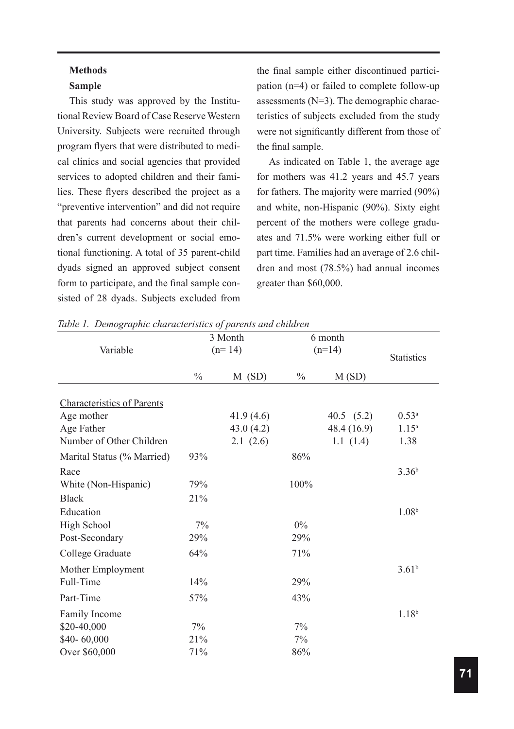## **Methods Sample**

This study was approved by the Institutional Review Board of Case Reserve Western University. Subjects were recruited through program flyers that were distributed to medical clinics and social agencies that provided services to adopted children and their families. These flyers described the project as a "preventive intervention" and did not require that parents had concerns about their children's current development or social emotional functioning. A total of 35 parent-child dyads signed an approved subject consent form to participate, and the final sample consisted of 28 dyads. Subjects excluded from the final sample either discontinued participation (n=4) or failed to complete follow-up assessments (N=3). The demographic characteristics of subjects excluded from the study were not significantly different from those of the final sample.

As indicated on Table 1, the average age for mothers was 41.2 years and 45.7 years for fathers. The majority were married (90%) and white, non-Hispanic (90%). Sixty eight percent of the mothers were college graduates and 71.5% were working either full or part time. Families had an average of 2.6 children and most (78.5%) had annual incomes greater than \$60,000.

|                                   |               | 3 Month   | 6 month       |                   |                   |
|-----------------------------------|---------------|-----------|---------------|-------------------|-------------------|
| Variable                          |               | $(n=14)$  | $(n=14)$      | <b>Statistics</b> |                   |
|                                   | $\frac{0}{0}$ | M(SD)     | $\frac{0}{0}$ | M(SD)             |                   |
| <b>Characteristics of Parents</b> |               |           |               |                   |                   |
| Age mother                        |               | 41.9(4.6) |               | 40.5 $(5.2)$      | $0.53^{a}$        |
| Age Father                        |               | 43.0(4.2) |               | 48.4 (16.9)       | $1.15^{a}$        |
| Number of Other Children          |               | 2.1(2.6)  |               | 1.1(1.4)          | 1.38              |
| Marital Status (% Married)        | 93%           |           | 86%           |                   |                   |
| Race                              |               |           |               |                   | 3.36 <sup>b</sup> |
| White (Non-Hispanic)              | 79%           |           | 100%          |                   |                   |
| <b>Black</b>                      | 21%           |           |               |                   |                   |
| Education                         |               |           |               |                   | 1.08 <sup>b</sup> |
| <b>High School</b>                | 7%            |           | $0\%$         |                   |                   |
| Post-Secondary                    | 29%           |           | 29%           |                   |                   |
| College Graduate                  | 64%           |           | 71%           |                   |                   |
| Mother Employment                 |               |           |               |                   | $3.61^{b}$        |
| Full-Time                         | 14%           |           | 29%           |                   |                   |
| Part-Time                         | 57%           |           | 43%           |                   |                   |
| Family Income                     |               |           |               |                   | $1.18^{b}$        |
| \$20-40,000                       | 7%            |           | 7%            |                   |                   |
| \$40-60,000                       | 21%           |           | 7%            |                   |                   |
| Over \$60,000                     | 71%           |           | 86%           |                   |                   |

*Table 1. Demographic characteristics of parents and children*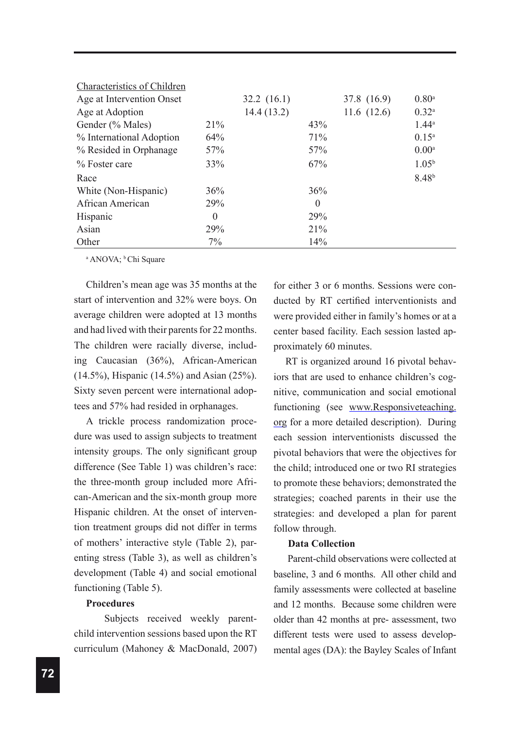| <b>Characteristics of Children</b> |                |            |          |               |                     |
|------------------------------------|----------------|------------|----------|---------------|---------------------|
| Age at Intervention Onset          |                | 32.2(16.1) |          | 37.8 (16.9)   | $0.80$ <sup>a</sup> |
| Age at Adoption                    |                | 14.4(13.2) |          | 11.6 $(12.6)$ | $0.32^{a}$          |
| Gender (% Males)                   | 21%            |            | 43%      |               | $1.44^{\circ}$      |
| % International Adoption           | 64%            |            | 71%      |               | $0.15^a$            |
| % Resided in Orphanage             | 57%            |            | 57%      |               | 0.00 <sup>a</sup>   |
| % Foster care                      | 33%            |            | 67%      |               | $1.05^{\rm b}$      |
| Race                               |                |            |          |               | $8.48^{b}$          |
| White (Non-Hispanic)               | 36%            |            | 36%      |               |                     |
| African American                   | 29%            |            | $\theta$ |               |                     |
| Hispanic                           | $\overline{0}$ |            | 29%      |               |                     |
| Asian                              | 29%            |            | 21%      |               |                     |
| Other                              | $7\%$          |            | 14%      |               |                     |

<sup>a</sup> ANOVA; <sup>b</sup>Chi Square

Children's mean age was 35 months at the start of intervention and 32% were boys. On average children were adopted at 13 months and had lived with their parents for 22 months. The children were racially diverse, including Caucasian (36%), African-American (14.5%), Hispanic (14.5%) and Asian (25%). Sixty seven percent were international adoptees and 57% had resided in orphanages.

A trickle process randomization procedure was used to assign subjects to treatment intensity groups. The only significant group difference (See Table 1) was children's race: the three-month group included more African-American and the six-month group more Hispanic children. At the onset of intervention treatment groups did not differ in terms of mothers' interactive style (Table 2), parenting stress (Table 3), as well as children's development (Table 4) and social emotional functioning (Table 5).

## **Procedures**

Subjects received weekly parentchild intervention sessions based upon the RT curriculum (Mahoney & MacDonald, 2007)

for either 3 or 6 months. Sessions were conducted by RT certified interventionists and were provided either in family's homes or at a center based facility. Each session lasted approximately 60 minutes.

RT is organized around 16 pivotal behaviors that are used to enhance children's cognitive, communication and social emotional functioning (see www.Responsiveteaching. org for a more detailed description). During each session interventionists discussed the pivotal behaviors that were the objectives for the child; introduced one or two RI strategies to promote these behaviors; demonstrated the strategies; coached parents in their use the strategies: and developed a plan for parent follow through.

#### **Data Collection**

Parent-child observations were collected at baseline, 3 and 6 months. All other child and family assessments were collected at baseline and 12 months. Because some children were older than 42 months at pre- assessment, two different tests were used to assess developmental ages (DA): the Bayley Scales of Infant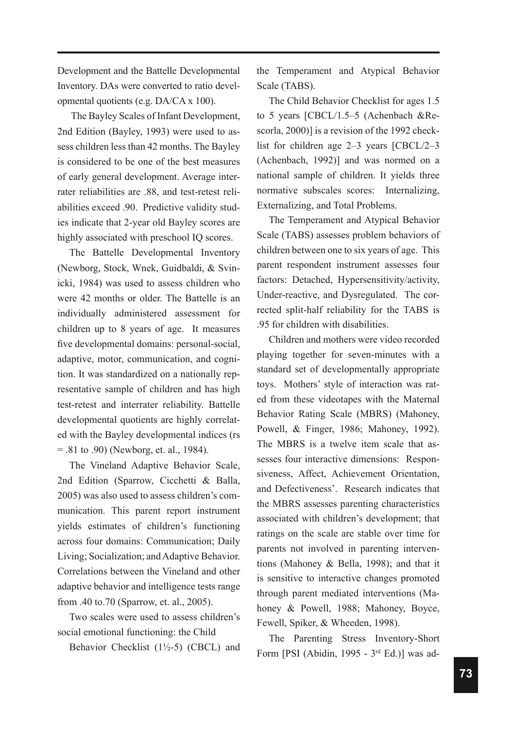Development and the Battelle Developmental Inventory. DAs were converted to ratio developmental quotients (e.g. DA/CA x 100).

 The Bayley Scales of Infant Development, 2nd Edition (Bayley, 1993) were used to assess children less than 42 months. The Bayley is considered to be one of the best measures of early general development. Average interrater reliabilities are .88, and test-retest reliabilities exceed .90. Predictive validity studies indicate that 2-year old Bayley scores are highly associated with preschool IQ scores.

The Battelle Developmental Inventory (Newborg, Stock, Wnek, Guidbaldi, & Svinicki, 1984) was used to assess children who were 42 months or older. The Battelle is an individually administered assessment for children up to 8 years of age. It measures five developmental domains: personal-social, adaptive, motor, communication, and cognition. It was standardized on a nationally representative sample of children and has high test-retest and interrater reliability. Battelle developmental quotients are highly correlated with the Bayley developmental indices (rs = .81 to .90) (Newborg, et. al., 1984).

The Vineland Adaptive Behavior Scale, 2nd Edition (Sparrow, Cicchetti & Balla, 2005) was also used to assess children's communication. This parent report instrument yields estimates of children's functioning across four domains: Communication; Daily Living; Socialization; and Adaptive Behavior. Correlations between the Vineland and other adaptive behavior and intelligence tests range from .40 to.70 (Sparrow, et. al., 2005).

Two scales were used to assess children's social emotional functioning: the Child

Behavior Checklist  $(1\frac{1}{2} - 5)$  (CBCL) and

the Temperament and Atypical Behavior Scale (TABS).

The Child Behavior Checklist for ages 1.5 to 5 years [CBCL/1.5–5 (Achenbach &Rescorla, 2000)] is a revision of the 1992 checklist for children age 2–3 years [CBCL/2–3 (Achenbach, 1992)] and was normed on a national sample of children. It yields three normative subscales scores: Internalizing, Externalizing, and Total Problems.

The Temperament and Atypical Behavior Scale (TABS) assesses problem behaviors of children between one to six years of age. This parent respondent instrument assesses four factors: Detached, Hypersensitivity/activity, Under-reactive, and Dysregulated. The corrected split-half reliability for the TABS is .95 for children with disabilities.

Children and mothers were video recorded playing together for seven-minutes with a standard set of developmentally appropriate toys. Mothers' style of interaction was rated from these videotapes with the Maternal Behavior Rating Scale (MBRS) (Mahoney, Powell, & Finger, 1986; Mahoney, 1992). The MBRS is a twelve item scale that assesses four interactive dimensions: Responsiveness, Affect, Achievement Orientation, and Defectiveness'. Research indicates that the MBRS assesses parenting characteristics associated with children's development; that ratings on the scale are stable over time for parents not involved in parenting interventions (Mahoney & Bella, 1998); and that it is sensitive to interactive changes promoted through parent mediated interventions (Mahoney & Powell, 1988; Mahoney, Boyce, Fewell, Spiker, & Wheeden, 1998).

The Parenting Stress Inventory-Short Form [PSI (Abidin, 1995 - 3rd Ed.)] was ad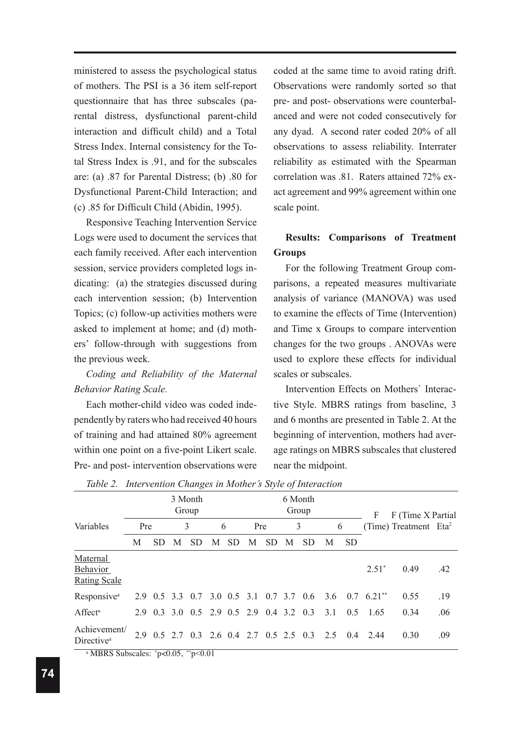ministered to assess the psychological status of mothers. The PSI is a 36 item self-report questionnaire that has three subscales (parental distress, dysfunctional parent-child interaction and difficult child) and a Total Stress Index. Internal consistency for the Total Stress Index is .91, and for the subscales are: (a) .87 for Parental Distress; (b) .80 for Dysfunctional Parent-Child Interaction; and (c) .85 for Difficult Child (Abidin, 1995).

Responsive Teaching Intervention Service Logs were used to document the services that each family received. After each intervention session, service providers completed logs indicating: (a) the strategies discussed during each intervention session; (b) Intervention Topics; (c) follow-up activities mothers were asked to implement at home; and (d) mothers' follow-through with suggestions from the previous week.

*Coding and Reliability of the Maternal Behavior Rating Scale.*

Each mother-child video was coded independently by raters who had received 40 hours of training and had attained 80% agreement within one point on a five-point Likert scale. Pre- and post- intervention observations were coded at the same time to avoid rating drift. Observations were randomly sorted so that pre- and post- observations were counterbalanced and were not coded consecutively for any dyad. A second rater coded 20% of all observations to assess reliability. Interrater reliability as estimated with the Spearman correlation was .81. Raters attained 72% exact agreement and 99% agreement within one scale point.

# **Results: Comparisons of Treatment Groups**

For the following Treatment Group comparisons, a repeated measures multivariate analysis of variance (MANOVA) was used to examine the effects of Time (Intervention) and Time x Groups to compare intervention changes for the two groups . ANOVAs were used to explore these effects for individual scales or subscales.

Intervention Effects on Mothers` Interactive Style. MBRS ratings from baseline, 3 and 6 months are presented in Table 2. At the beginning of intervention, mothers had average ratings on MBRS subscales that clustered near the midpoint.

|   |              |     |           |                       |           |   |           |     |           |                                                                                                                                                                                                                         |           | F        |                |                                                         |
|---|--------------|-----|-----------|-----------------------|-----------|---|-----------|-----|-----------|-------------------------------------------------------------------------------------------------------------------------------------------------------------------------------------------------------------------------|-----------|----------|----------------|---------------------------------------------------------|
|   |              |     |           |                       |           |   |           |     |           |                                                                                                                                                                                                                         |           |          |                |                                                         |
| M | <b>SD</b>    | M   | <b>SD</b> | М                     | <b>SD</b> | M | <b>SD</b> | M   | <b>SD</b> | M                                                                                                                                                                                                                       | <b>SD</b> |          |                |                                                         |
|   |              |     |           |                       |           |   |           |     |           |                                                                                                                                                                                                                         |           | $2.51^*$ | 0.49           | .42                                                     |
|   |              |     |           |                       |           |   |           |     |           |                                                                                                                                                                                                                         |           |          | 0.55           | .19                                                     |
|   |              |     |           |                       |           |   |           |     |           | 3.1                                                                                                                                                                                                                     | 0.5       | 1.65     | 0.34           | .06                                                     |
|   |              |     |           |                       |           |   |           |     |           | 2.5                                                                                                                                                                                                                     | 0.4       | 244      | 0.30           | .09                                                     |
|   | Achievement/ | Pre |           | 3 Month<br>Group<br>3 |           | 6 |           | Pre |           | 6 Month<br>Group<br>3<br>2.9 0.5 3.3 0.7 3.0 0.5 3.1 0.7 3.7 0.6<br>2.9 0.3 3.0 0.5 2.9 0.5 2.9 0.4 3.2 0.3<br>2.9 0.5 2.7 0.3 2.6 0.4 2.7 0.5 2.5 0.3<br>a MRDC Subcoolee: $n \times 0.05$ $\rightarrow n \times 0.01$ |           | 6        | 3.6 0.7 6.21** | F (Time X Partial)<br>(Time) Treatment Eta <sup>2</sup> |

| Table 2. Intervention Changes in Mother's Style of Interaction |  |  |
|----------------------------------------------------------------|--|--|
|                                                                |  |  |

a MBRS Subscales: \*p<0.05, \*\*p<0.01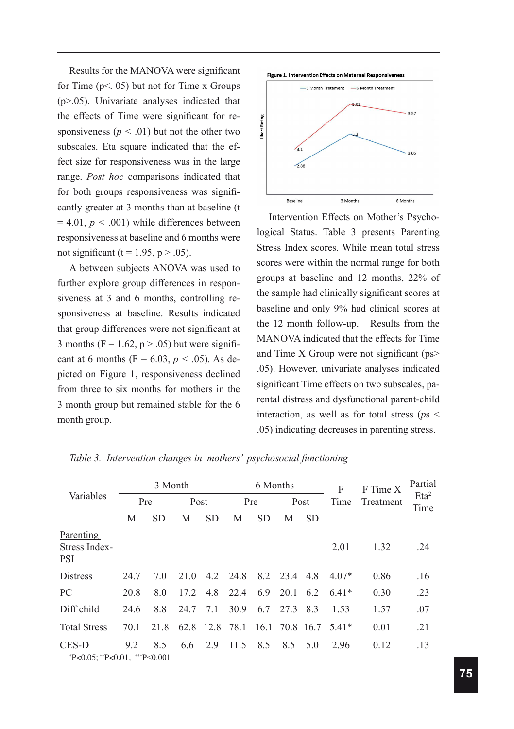Results for the MANOVA were significant for Time  $(p<. 05)$  but not for Time x Groups (p>.05). Univariate analyses indicated that the effects of Time were significant for responsiveness ( $p < .01$ ) but not the other two subscales. Eta square indicated that the effect size for responsiveness was in the large range. *Post hoc* comparisons indicated that for both groups responsiveness was significantly greater at 3 months than at baseline (t  $= 4.01, p < .001$ ) while differences between responsiveness at baseline and 6 months were not significant (t = 1.95, p > .05).

A between subjects ANOVA was used to further explore group differences in responsiveness at 3 and 6 months, controlling responsiveness at baseline. Results indicated that group differences were not significant at 3 months ( $F = 1.62$ ,  $p > .05$ ) but were significant at 6 months ( $F = 6.03$ ,  $p < .05$ ). As depicted on Figure 1, responsiveness declined from three to six months for mothers in the 3 month group but remained stable for the 6 month group.





Intervention Effects on Mother's Psychological Status. Table 3 presents Parenting Stress Index scores. While mean total stress scores were within the normal range for both groups at baseline and 12 months, 22% of the sample had clinically significant scores at baseline and only 9% had clinical scores at the 12 month follow-up. Results from the MANOVA indicated that the effects for Time and Time X Group were not significant (ps> .05). However, univariate analyses indicated significant Time effects on two subscales, parental distress and dysfunctional parent-child interaction, as well as for total stress (*p*s < .05) indicating decreases in parenting stress.

|                                          |      |           | 6 Months |           |      | F         | F Time X | Partial   |         |           |                          |
|------------------------------------------|------|-----------|----------|-----------|------|-----------|----------|-----------|---------|-----------|--------------------------|
| Variables                                | Pre  |           | Post     |           | Pre  |           | Post     |           | Time    | Treatment | Eta <sup>2</sup><br>Time |
|                                          | M    | <b>SD</b> | M        | <b>SD</b> | M    | <b>SD</b> | M        | <b>SD</b> |         |           |                          |
| Parenting<br>Stress Index-<br><b>PSI</b> |      |           |          |           |      |           |          |           | 2.01    | 1.32      | .24                      |
| <b>Distress</b>                          | 24.7 | 7.0       | 21.0     | 4.2       | 24.8 |           | 8.2 23.4 | 4.8       | 4 07*   | 0.86      | .16                      |
| <b>PC</b>                                | 20.8 | 8.0       | 17.2     | 4.8       | 22.4 | 6.9       | 20.1     | 6.2       | $6.41*$ | 0.30      | .23                      |
| Diff child                               | 24.6 | 8.8       | 24.7     | 7.1       | 30.9 | 6.7       | 27.3     | 8.3       | 1.53    | 1.57      | .07                      |
| <b>Total Stress</b>                      | 70.1 | 21.8      | 62.8     | 12.8      | 78.1 | 16.1      |          | 70.8 16.7 | 541*    | 0.01      | .21                      |
| CES-D                                    | 9.2  | 8.5       | 6.6      | 2.9       | 11.5 | 8.5       | 8.5      | 5.0       | 2.96    | 0.12      | .13                      |
| $P < 0.05$ ; **P<0.01, ***P<0.001        |      |           |          |           |      |           |          |           |         |           |                          |

*Table 3. Intervention changes in mothers' psychosocial functioning*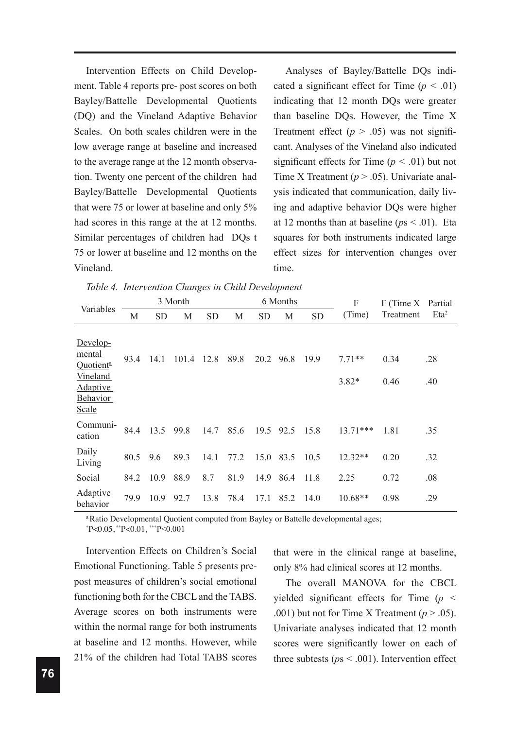Intervention Effects on Child Development. Table 4 reports pre- post scores on both Bayley/Battelle Developmental Quotients (DQ) and the Vineland Adaptive Behavior Scales. On both scales children were in the low average range at baseline and increased to the average range at the 12 month observation. Twenty one percent of the children had Bayley/Battelle Developmental Quotients that were 75 or lower at baseline and only 5% had scores in this range at the at 12 months. Similar percentages of children had DQs t 75 or lower at baseline and 12 months on the Vineland.

Analyses of Bayley/Battelle DQs indicated a significant effect for Time (*p <* .01) indicating that 12 month DQs were greater than baseline DQs. However, the Time X Treatment effect  $(p > .05)$  was not significant. Analyses of the Vineland also indicated significant effects for Time  $(p < .01)$  but not Time X Treatment ( $p > .05$ ). Univariate analysis indicated that communication, daily living and adaptive behavior DQs were higher at 12 months than at baseline ( $ps < .01$ ). Eta squares for both instruments indicated large effect sizes for intervention changes over time.

| Variables                                                                                       |      |           | 3 Month |           |      |           | 6 Months |           | F                   | F (Time X Partial |                  |
|-------------------------------------------------------------------------------------------------|------|-----------|---------|-----------|------|-----------|----------|-----------|---------------------|-------------------|------------------|
|                                                                                                 | M    | <b>SD</b> | M       | <b>SD</b> | M    | <b>SD</b> | M        | <b>SD</b> | (Time)              | Treatment         | Eta <sup>2</sup> |
| Develop-<br>mental<br>Quotient <sup>a</sup><br>Vineland<br><b>Adaptive</b><br>Behavior<br>Scale | 93.4 | 14.1      | 101.4   | 12.8      | 89.8 | 20.2      | 96.8     | 19.9      | $7.71**$<br>$3.82*$ | 0.34<br>0.46      | .28<br>.40       |
| Communi-<br>cation                                                                              | 84.4 | 13.5      | 99.8    | 14.7      | 85.6 | 19.5      | 92.5     | 15.8      | $13.71***$          | 1.81              | .35              |
| Daily<br>Living                                                                                 | 80.5 | 9.6       | 89.3    | 14.1      | 77.2 | 15.0      | 83.5     | 10.5      | $12.32**$           | 0.20              | .32              |
| Social                                                                                          | 84.2 | 10.9      | 88.9    | 8.7       | 81.9 | 14.9      | 86.4     | 11.8      | 2.25                | 0.72              | .08              |
| Adaptive<br>behavior                                                                            | 79.9 | 10.9      | 92.7    | 13.8      | 78.4 | 17.1      | 85.2     | 14.0      | 10.68**             | 0.98              | .29              |

<sup>a</sup>Ratio Developmental Quotient computed from Bayley or Battelle developmental ages;

\* P<0.05, \*\*P<0.01, \*\*\*P<0.001

Intervention Effects on Children's Social Emotional Functioning. Table 5 presents prepost measures of children's social emotional functioning both for the CBCL and the TABS. Average scores on both instruments were within the normal range for both instruments at baseline and 12 months. However, while 21% of the children had Total TABS scores

that were in the clinical range at baseline, only 8% had clinical scores at 12 months.

The overall MANOVA for the CBCL yielded significant effects for Time (*p <* .001) but not for Time X Treatment  $(p > .05)$ . Univariate analyses indicated that 12 month scores were significantly lower on each of three subtests ( $ps < .001$ ). Intervention effect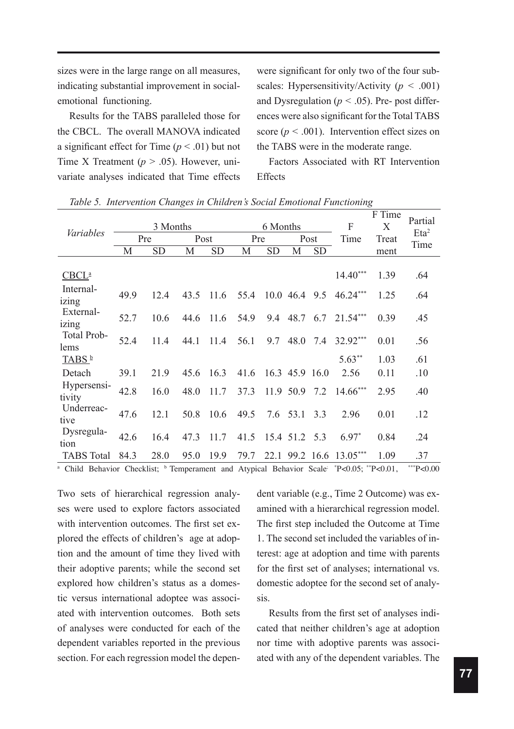sizes were in the large range on all measures, indicating substantial improvement in socialemotional functioning.

Results for the TABS paralleled those for the CBCL. The overall MANOVA indicated a significant effect for Time  $(p < .01)$  but not Time X Treatment ( $p > .05$ ). However, univariate analyses indicated that Time effects were significant for only two of the four subscales: Hypersensitivity/Activity (*p <* .001) and Dysregulation ( $p < .05$ ). Pre- post differences were also significant for the Total TABS score ( $p < .001$ ). Intervention effect sizes on the TABS were in the moderate range.

Factors Associated with RT Intervention Effects

| Variables             |      | 3 Months<br>Pre | Post |           | Pre  | 6 Months  |                | Post      | F<br>Time  | F Time<br>X<br>Treat | Partial<br>Eta <sup>2</sup><br>Time |
|-----------------------|------|-----------------|------|-----------|------|-----------|----------------|-----------|------------|----------------------|-------------------------------------|
|                       | M    | <b>SD</b>       | M    | <b>SD</b> | M    | <b>SD</b> | M              | <b>SD</b> |            | ment                 |                                     |
| CBCL <sup>a</sup>     |      |                 |      |           |      |           |                |           | $14.40***$ | 1.39                 | .64                                 |
| Internal-<br>izing    | 49.9 | 12.4            | 43.5 | 11.6      | 55.4 | 10.0      | 46.4           | 9.5       | 46.24***   | 1.25                 | .64                                 |
| External-<br>izing    | 52.7 | 10.6            | 44.6 | 11.6      | 54.9 | 9.4       | 48.7           | 6.7       | $21.54***$ | 0.39                 | .45                                 |
| Total Prob-<br>lems   | 52.4 | 11.4            | 44.1 | 11.4      | 56.1 | 9.7       | 48.0           | 7.4       | 32.92***   | 0.01                 | .56                                 |
| TABS <sup>b</sup>     |      |                 |      |           |      |           |                |           | $5.63**$   | 1.03                 | .61                                 |
| Detach                | 39.1 | 21.9            | 45.6 | 16.3      | 41.6 |           | 16.3 45.9 16.0 |           | 2.56       | 0.11                 | .10                                 |
| Hypersensi-<br>tivity | 42.8 | 16.0            | 48.0 | 11.7      | 37.3 |           | 11.9 50.9      | 7.2       | 14.66***   | 2.95                 | .40                                 |
| Underreac-<br>tive    | 47.6 | 12.1            | 50.8 | 10.6      | 49.5 |           | $7.6$ 53.1     | 3.3       | 2.96       | 0.01                 | .12                                 |
| Dysregula-<br>tion    | 42.6 | 16.4            | 47.3 | 11.7      | 41.5 |           | 15.4 51.2      | 5.3       | $6.97*$    | 0.84                 | .24                                 |
| <b>TABS</b> Total     | 84.3 | 28.0            | 95.0 | 19.9      | 79.7 | 22.1      |                | 99.2 16.6 | $13.05***$ | 1.09                 | .37                                 |

*Table 5. Intervention Changes in Children's Social Emotional Functioning*

<sup>a</sup> Child Behavior Checklist; <sup>b</sup> Temperament and Atypical Behavior Scale<sup>: \*</sup>P<0.05; \*\*P<0.01, \*\*\*P<0.00

Two sets of hierarchical regression analyses were used to explore factors associated with intervention outcomes. The first set explored the effects of children's age at adoption and the amount of time they lived with their adoptive parents; while the second set explored how children's status as a domestic versus international adoptee was associated with intervention outcomes. Both sets of analyses were conducted for each of the dependent variables reported in the previous section. For each regression model the dependent variable (e.g., Time 2 Outcome) was examined with a hierarchical regression model. The first step included the Outcome at Time 1. The second set included the variables of interest: age at adoption and time with parents for the first set of analyses; international vs. domestic adoptee for the second set of analysis.

Results from the first set of analyses indicated that neither children's age at adoption nor time with adoptive parents was associated with any of the dependent variables. The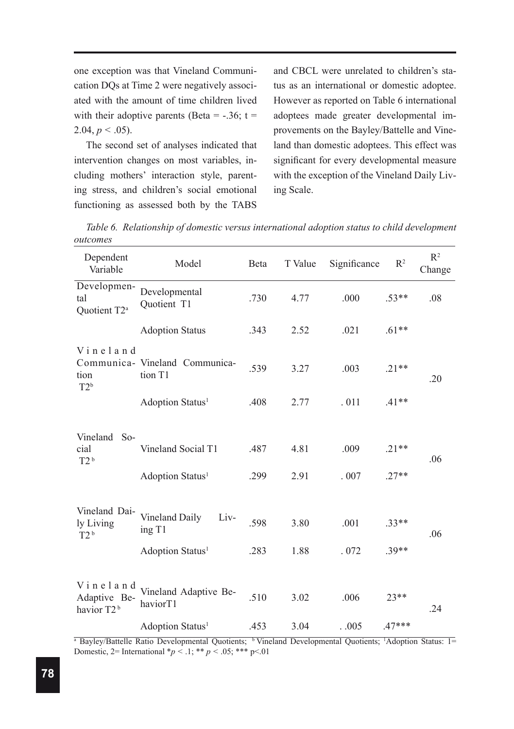one exception was that Vineland Communication DQs at Time 2 were negatively associated with the amount of time children lived with their adoptive parents (Beta =  $-.36$ ; t = 2.04,  $p < .05$ ).

The second set of analyses indicated that intervention changes on most variables, including mothers' interaction style, parenting stress, and children's social emotional functioning as assessed both by the TABS

and CBCL were unrelated to children's status as an international or domestic adoptee. However as reported on Table 6 international adoptees made greater developmental improvements on the Bayley/Battelle and Vineland than domestic adoptees. This effect was significant for every developmental measure with the exception of the Vineland Daily Living Scale.

| Dependent<br>Variable                                          | Model                                                             | Beta         | T Value      | Significance | R <sup>2</sup>     | $R^2$<br>Change |
|----------------------------------------------------------------|-------------------------------------------------------------------|--------------|--------------|--------------|--------------------|-----------------|
| Developmen-<br>tal<br>Quotient T2 <sup>a</sup>                 | Developmental<br>Quotient T1                                      | .730         | 4.77         | .000         | $.53**$            | .08             |
|                                                                | <b>Adoption Status</b>                                            | .343         | 2.52         | .021         | $.61**$            |                 |
| Vineland<br>tion<br>$T2^b$                                     | Communica- Vineland Communica-<br>tion T1                         | .539         | 3.27         | .003         | $.21**$            | .20             |
|                                                                | Adoption Status <sup>1</sup>                                      | .408         | 2.77         | .011         | $.41**$            |                 |
| Vineland<br>$So-$<br>cial<br>T2 <sup>b</sup>                   | Vineland Social T1<br>Adoption Status <sup>1</sup>                | .487<br>.299 | 4.81<br>2.91 | .009<br>.007 | $.21**$<br>$.27**$ | .06             |
| Vineland Dai-<br>ly Living<br>T2 <sup>b</sup>                  | Vineland Daily<br>Liv-<br>ing T1<br>Adoption Status <sup>1</sup>  | .598<br>.283 | 3.80<br>1.88 | .001<br>.072 | $.33**$<br>$.39**$ | .06             |
| Vineland<br>Adaptive Be-<br>havior T <sub>2</sub> <sup>b</sup> | Vineland Adaptive Be-<br>haviorT1<br>Adoption Status <sup>1</sup> | .510<br>.453 | 3.02<br>3.04 | .006<br>.005 | 23**<br>$.47***$   | .24             |

*Table 6. Relationship of domestic versus international adoption status to child development outcomes* 

<sup>a</sup> Bayley/Battelle Ratio Developmental Quotients; <sup>b</sup> Vineland Developmental Quotients; <sup>1</sup>Adoption Status: 1= Domestic, 2= International  ${}^*p < 0.1;$  \*\*  $p < 0.05;$  \*\*\* p<01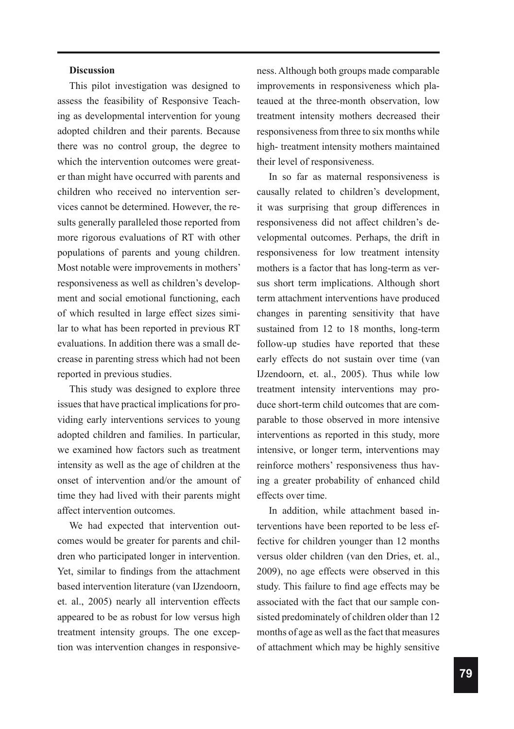### **Discussion**

This pilot investigation was designed to assess the feasibility of Responsive Teaching as developmental intervention for young adopted children and their parents. Because there was no control group, the degree to which the intervention outcomes were greater than might have occurred with parents and children who received no intervention services cannot be determined. However, the results generally paralleled those reported from more rigorous evaluations of RT with other populations of parents and young children. Most notable were improvements in mothers' responsiveness as well as children's development and social emotional functioning, each of which resulted in large effect sizes similar to what has been reported in previous RT evaluations. In addition there was a small decrease in parenting stress which had not been reported in previous studies.

This study was designed to explore three issues that have practical implications for providing early interventions services to young adopted children and families. In particular, we examined how factors such as treatment intensity as well as the age of children at the onset of intervention and/or the amount of time they had lived with their parents might affect intervention outcomes.

We had expected that intervention outcomes would be greater for parents and children who participated longer in intervention. Yet, similar to findings from the attachment based intervention literature (van IJzendoorn, et. al., 2005) nearly all intervention effects appeared to be as robust for low versus high treatment intensity groups. The one exception was intervention changes in responsiveness. Although both groups made comparable improvements in responsiveness which plateaued at the three-month observation, low treatment intensity mothers decreased their responsiveness from three to six months while high- treatment intensity mothers maintained their level of responsiveness.

In so far as maternal responsiveness is causally related to children's development, it was surprising that group differences in responsiveness did not affect children's developmental outcomes. Perhaps, the drift in responsiveness for low treatment intensity mothers is a factor that has long-term as versus short term implications. Although short term attachment interventions have produced changes in parenting sensitivity that have sustained from 12 to 18 months, long-term follow-up studies have reported that these early effects do not sustain over time (van IJzendoorn, et. al., 2005). Thus while low treatment intensity interventions may produce short-term child outcomes that are comparable to those observed in more intensive interventions as reported in this study, more intensive, or longer term, interventions may reinforce mothers' responsiveness thus having a greater probability of enhanced child effects over time.

In addition, while attachment based interventions have been reported to be less effective for children younger than 12 months versus older children (van den Dries, et. al., 2009), no age effects were observed in this study. This failure to find age effects may be associated with the fact that our sample consisted predominately of children older than 12 months of age as well as the fact that measures of attachment which may be highly sensitive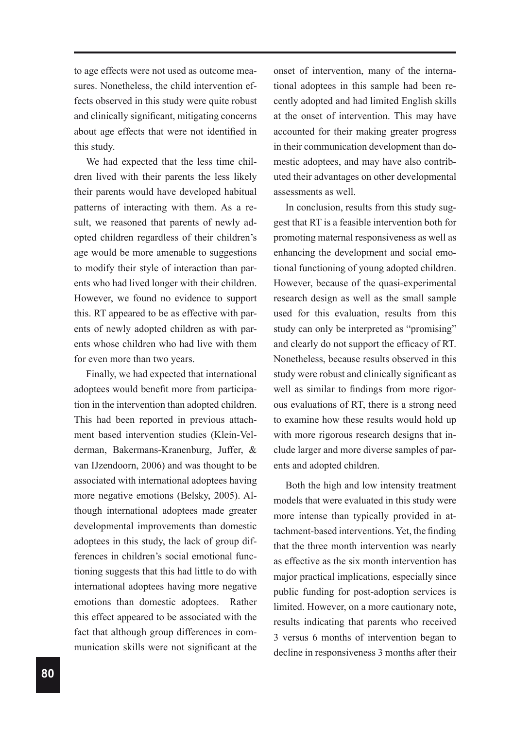to age effects were not used as outcome measures. Nonetheless, the child intervention effects observed in this study were quite robust and clinically significant, mitigating concerns about age effects that were not identified in this study.

We had expected that the less time children lived with their parents the less likely their parents would have developed habitual patterns of interacting with them. As a result, we reasoned that parents of newly adopted children regardless of their children's age would be more amenable to suggestions to modify their style of interaction than parents who had lived longer with their children. However, we found no evidence to support this. RT appeared to be as effective with parents of newly adopted children as with parents whose children who had live with them for even more than two years.

Finally, we had expected that international adoptees would benefit more from participation in the intervention than adopted children. This had been reported in previous attachment based intervention studies (Klein-Velderman, Bakermans-Kranenburg, Juffer, & van IJzendoorn, 2006) and was thought to be associated with international adoptees having more negative emotions (Belsky, 2005). Although international adoptees made greater developmental improvements than domestic adoptees in this study, the lack of group differences in children's social emotional functioning suggests that this had little to do with international adoptees having more negative emotions than domestic adoptees. Rather this effect appeared to be associated with the fact that although group differences in communication skills were not significant at the onset of intervention, many of the international adoptees in this sample had been recently adopted and had limited English skills at the onset of intervention. This may have accounted for their making greater progress in their communication development than domestic adoptees, and may have also contributed their advantages on other developmental assessments as well.

In conclusion, results from this study suggest that RT is a feasible intervention both for promoting maternal responsiveness as well as enhancing the development and social emotional functioning of young adopted children. However, because of the quasi-experimental research design as well as the small sample used for this evaluation, results from this study can only be interpreted as "promising" and clearly do not support the efficacy of RT. Nonetheless, because results observed in this study were robust and clinically significant as well as similar to findings from more rigorous evaluations of RT, there is a strong need to examine how these results would hold up with more rigorous research designs that include larger and more diverse samples of parents and adopted children.

Both the high and low intensity treatment models that were evaluated in this study were more intense than typically provided in attachment-based interventions. Yet, the finding that the three month intervention was nearly as effective as the six month intervention has major practical implications, especially since public funding for post-adoption services is limited. However, on a more cautionary note, results indicating that parents who received 3 versus 6 months of intervention began to decline in responsiveness 3 months after their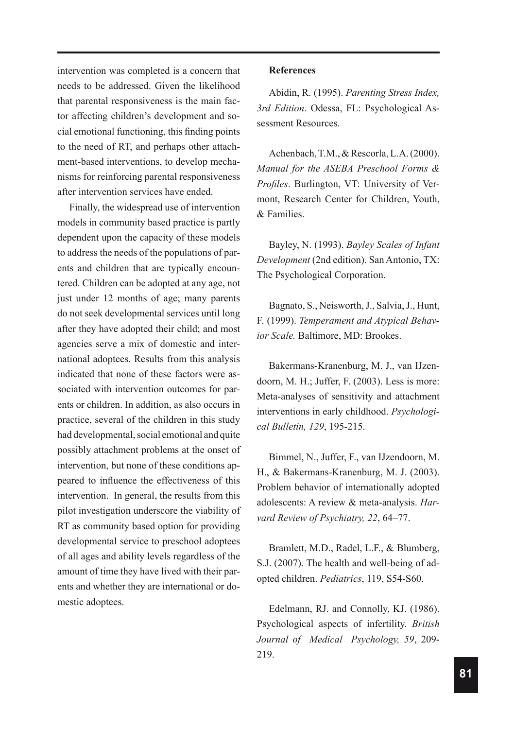intervention was completed is a concern that needs to be addressed. Given the likelihood that parental responsiveness is the main factor affecting children's development and social emotional functioning, this finding points to the need of RT, and perhaps other attachment-based interventions, to develop mechanisms for reinforcing parental responsiveness after intervention services have ended.

Finally, the widespread use of intervention models in community based practice is partly dependent upon the capacity of these models to address the needs of the populations of parents and children that are typically encountered. Children can be adopted at any age, not just under 12 months of age; many parents do not seek developmental services until long after they have adopted their child; and most agencies serve a mix of domestic and international adoptees. Results from this analysis indicated that none of these factors were associated with intervention outcomes for parents or children. In addition, as also occurs in practice, several of the children in this study had developmental, social emotional and quite possibly attachment problems at the onset of intervention, but none of these conditions appeared to influence the effectiveness of this intervention. In general, the results from this pilot investigation underscore the viability of RT as community based option for providing developmental service to preschool adoptees of all ages and ability levels regardless of the amount of time they have lived with their parents and whether they are international or domestic adoptees.

#### **References**

Abidin, R. (1995). *Parenting Stress Index, 3rd Edition*. Odessa, FL: Psychological Assessment Resources.

Achenbach, T.M., & Rescorla, L.A. (2000). *Manual for the ASEBA Preschool Forms & Profiles*. Burlington, VT: University of Vermont, Research Center for Children, Youth, & Families.

Bayley, N. (1993). *Bayley Scales of Infant Development* (2nd edition). San Antonio, TX: The Psychological Corporation.

Bagnato, S., Neisworth, J., Salvia, J., Hunt, F. (1999). *Temperament and Atypical Behavior Scale.* Baltimore, MD: Brookes.

Bakermans-Kranenburg, M. J., van IJzendoorn, M. H.; Juffer, F. (2003). Less is more: Meta-analyses of sensitivity and attachment interventions in early childhood. *Psychological Bulletin, 129*, 195-215.

Bimmel, N., Juffer, F., van IJzendoorn, M. H., & Bakermans-Kranenburg, M. J. (2003). Problem behavior of internationally adopted adolescents: A review & meta-analysis. *Harvard Review of Psychiatry, 22*, 64–77.

Bramlett, M.D., Radel, L.F., & Blumberg, S.J. (2007). The health and well-being of adopted children. *Pediatrics*, 119, S54-S60.

Edelmann, RJ. and Connolly, KJ. (1986). Psychological aspects of infertility. *British Journal of Medical Psychology, 59*, 209- 219.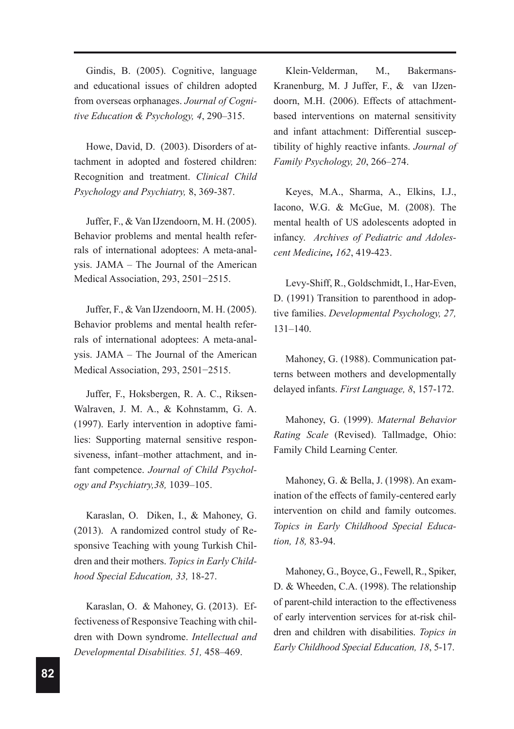Gindis, B. (2005). Cognitive, language and educational issues of children adopted from overseas orphanages. *Journal of Cognitive Education & Psychology, 4*, 290–315.

Howe, David, D. (2003). Disorders of attachment in adopted and fostered children: Recognition and treatment. *Clinical Child Psychology and Psychiatry,* 8, 369-387.

Juffer, F., & Van IJzendoorn, M. H. (2005). Behavior problems and mental health referrals of international adoptees: A meta-analysis. JAMA – The Journal of the American Medical Association, 293, 2501−2515.

Juffer, F., & Van IJzendoorn, M. H. (2005). Behavior problems and mental health referrals of international adoptees: A meta-analysis. JAMA – The Journal of the American Medical Association, 293, 2501−2515.

Juffer, F., Hoksbergen, R. A. C., Riksen-Walraven, J. M. A., & Kohnstamm, G. A. (1997). Early intervention in adoptive families: Supporting maternal sensitive responsiveness, infant–mother attachment, and infant competence. *Journal of Child Psychology and Psychiatry,38,* 1039–105.

Karaslan, O. Diken, I., & Mahoney, G. (2013). A randomized control study of Responsive Teaching with young Turkish Children and their mothers. *Topics in Early Childhood Special Education, 33,* 18-27.

Karaslan, O. & Mahoney, G. (2013). Effectiveness of Responsive Teaching with children with Down syndrome. *Intellectual and Developmental Disabilities. 51,* 458–469.

Klein-Velderman, M., Bakermans-Kranenburg, M. J Juffer, F., & van IJzendoorn, M.H. (2006). Effects of attachmentbased interventions on maternal sensitivity and infant attachment: Differential susceptibility of highly reactive infants. *Journal of Family Psychology, 20*, 266–274.

Keyes, M.A., Sharma, A., Elkins, I.J., Iacono, W.G. & McGue, M. (2008). The mental health of US adolescents adopted in infancy. *Archives of Pediatric and Adolescent Medicine, 162*, 419-423.

Levy-Shiff, R., Goldschmidt, I., Har-Even, D. (1991) Transition to parenthood in adoptive families. *Developmental Psychology, 27,*  131–140.

Mahoney, G. (1988). Communication patterns between mothers and developmentally delayed infants. *First Language, 8*, 157-172.

Mahoney, G. (1999). *Maternal Behavior Rating Scale* (Revised). Tallmadge, Ohio: Family Child Learning Center.

Mahoney, G. & Bella, J. (1998). An examination of the effects of family-centered early intervention on child and family outcomes. *Topics in Early Childhood Special Education, 18,* 83-94.

Mahoney, G., Boyce, G., Fewell, R., Spiker, D. & Wheeden, C.A. (1998). The relationship of parent-child interaction to the effectiveness of early intervention services for at-risk children and children with disabilities. *Topics in Early Childhood Special Education, 18*, 5-17.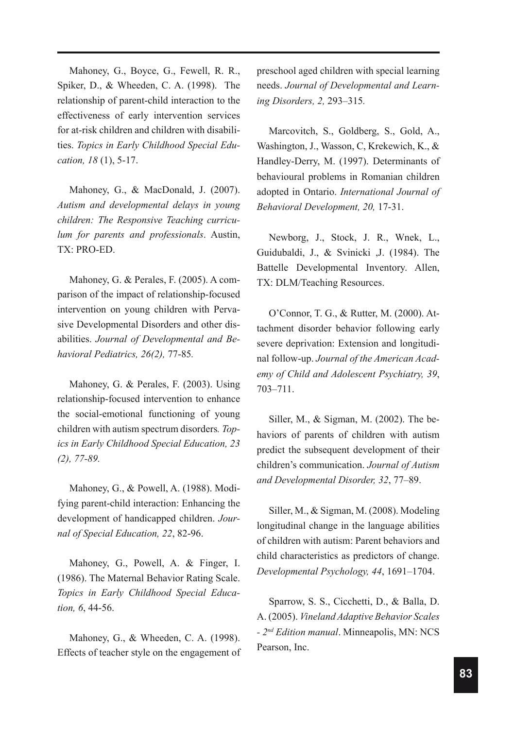Mahoney, G., Boyce, G., Fewell, R. R., Spiker, D., & Wheeden, C. A. (1998). The relationship of parent-child interaction to the effectiveness of early intervention services for at-risk children and children with disabilities. *Topics in Early Childhood Special Education, 18* (1), 5-17.

Mahoney, G., & MacDonald, J. (2007). *Autism and developmental delays in young children: The Responsive Teaching curriculum for parents and professionals*. Austin, TX: PRO-ED.

Mahoney, G. & Perales, F. (2005). A comparison of the impact of relationship-focused intervention on young children with Pervasive Developmental Disorders and other disabilities. *Journal of Developmental and Behavioral Pediatrics, 26(2),* 77-85*.*

Mahoney, G. & Perales, F. (2003). Using relationship-focused intervention to enhance the social-emotional functioning of young children with autism spectrum disorders*. Topics in Early Childhood Special Education, 23 (2), 77-89.*

Mahoney, G., & Powell, A. (1988). Modifying parent-child interaction: Enhancing the development of handicapped children. *Journal of Special Education, 22*, 82-96.

Mahoney, G., Powell, A. & Finger, I. (1986). The Maternal Behavior Rating Scale. *Topics in Early Childhood Special Education, 6*, 44-56.

Mahoney, G., & Wheeden, C. A. (1998). Effects of teacher style on the engagement of preschool aged children with special learning needs. *Journal of Developmental and Learning Disorders, 2,* 293–315*.* 

Marcovitch, S., Goldberg, S., Gold, A., Washington, J., Wasson, C, Krekewich, K., & Handley-Derry, M. (1997). Determinants of behavioural problems in Romanian children adopted in Ontario. *International Journal of Behavioral Development, 20,* 17-31.

Newborg, J., Stock, J. R., Wnek, L., Guidubaldi, J., & Svinicki ,J. (1984). The Battelle Developmental Inventory. Allen, TX: DLM/Teaching Resources.

O'Connor, T. G., & Rutter, M. (2000). Attachment disorder behavior following early severe deprivation: Extension and longitudinal follow-up. *Journal of the American Academy of Child and Adolescent Psychiatry, 39*, 703–711.

Siller, M., & Sigman, M. (2002). The behaviors of parents of children with autism predict the subsequent development of their children's communication. *Journal of Autism and Developmental Disorder, 32*, 77–89.

Siller, M., & Sigman, M. (2008). Modeling longitudinal change in the language abilities of children with autism: Parent behaviors and child characteristics as predictors of change. *Developmental Psychology, 44*, 1691–1704.

Sparrow, S. S., Cicchetti, D., & Balla, D. A. (2005). *Vineland Adaptive Behavior Scales - 2nd Edition manual*. Minneapolis, MN: NCS Pearson, Inc.